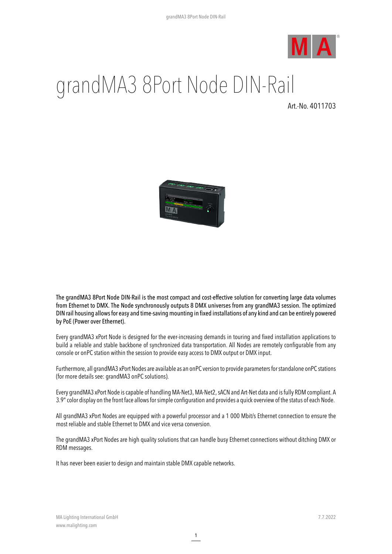

## grandMA3 8Port Node DIN-Rail

Art.-No. 4011703



The grandMA3 8Port Node DIN-Rail is the most compact and cost-effective solution for converting large data volumes from Ethernet to DMX. The Node synchronously outputs 8 DMX universes from any grandMA3 session. The optimized DIN rail housing allowsfor easy and time-saving mounting in fixed installations of any kind and can be entirely powered by PoE (Power over Ethernet).

Every grandMA3 xPort Node is designed for the ever-increasing demands in touring and fixed installation applications to build a reliable and stable backbone of synchronized data transportation. All Nodes are remotely configurable from any console or onPC station within the session to provide easy access to DMX output or DMX input.

Furthermore, all grandMA3 xPort Nodes are available as an onPC version to provide parametersforstandalone onPC stations (for more details see: grandMA3 onPC solutions).

Every grandMA3 xPort Node iscapable of handling MA-Net3, MA-Net2,sACN and Art-Net data and isfully RDM compliant. A 3.9"color display on the front face allowsforsimple configuration and provides a quick overview of the status of each Node.

All grandMA3 xPort Nodes are equipped with a powerful processor and a 1 000 Mbit/s Ethernet connection to ensure the most reliable and stable Ethernet to DMX and vice versa conversion.

The grandMA3 xPort Nodes are high quality solutions that can handle busy Ethernet connections without ditching DMX or RDM messages.

It has never been easier to design and maintain stable DMX capable networks.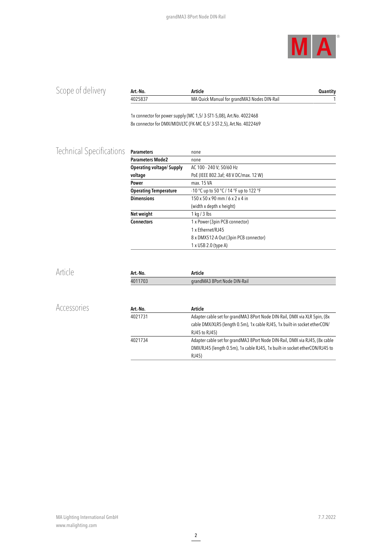

| Scope of delivery        | Art.-No.                         | <b>Article</b>                                                            | <b>Quantity</b> |
|--------------------------|----------------------------------|---------------------------------------------------------------------------|-----------------|
|                          | 4025837                          | MA Quick Manual for grandMA3 Nodes DIN-Rail                               | 1               |
|                          |                                  | 1x connector for power supply (MC 1,5/3-ST1-5,08), Art. No. 4022468       |                 |
|                          |                                  | 8x connector for DMX/MIDI/LTC (FK-MC 0,5/3-ST-2,5), Art.No. 4022469       |                 |
| Technical Specifications | <b>Parameters</b>                | none                                                                      |                 |
|                          | <b>Parameters Mode2</b>          | none                                                                      |                 |
|                          | <b>Operating voltage/ Supply</b> | AC 100 - 240 V; 50/60 Hz                                                  |                 |
|                          | voltage                          | PoE (IEEE 802.3af; 48 V DC/max. 12 W)                                     |                 |
|                          | Power                            | max. 15 VA                                                                |                 |
|                          | <b>Operating Temperature</b>     | -10 °C up to 50 °C / 14 °F up to 122 °F                                   |                 |
|                          | <b>Dimensions</b>                | $150 \times 50 \times 90$ mm / 6 x 2 x 4 in                               |                 |
|                          |                                  | (width x depth x height)                                                  |                 |
|                          | Net weight                       | $1$ kg / $3$ lbs                                                          |                 |
|                          | <b>Connectors</b>                | 1 x Power (3pin PCB connector)                                            |                 |
|                          |                                  | 1 x Ethernet/RJ45                                                         |                 |
|                          |                                  | 8 x DMX512-A Out (3pin PCB connector)                                     |                 |
|                          |                                  | 1 x USB 2.0 (type A)                                                      |                 |
| Article                  | Art.-No.                         | <b>Article</b>                                                            |                 |
|                          | 4011703                          | grandMA3 8Port Node DIN-Rail                                              |                 |
|                          |                                  |                                                                           |                 |
| Accessories              | Art.-No.                         | Article                                                                   |                 |
|                          | 4021731                          | Adapter cable set for grandMA3 8Port Node DIN-Rail, DMX via XLR 5pin, (8x |                 |

RJ45 to RJ45)

RJ45)

4021734 Adapter cable set for grandMA3 8Port Node DIN-Rail, DMX via RJ45, (8xcable

cable DMX/XLR5 (length 0.5m), 1xcable RJ45, 1x built-in socket etherCON/

DMX/RJ45 (length 0.5m), 1x cable RJ45, 1x built-in socket etherCON/RJ45 to